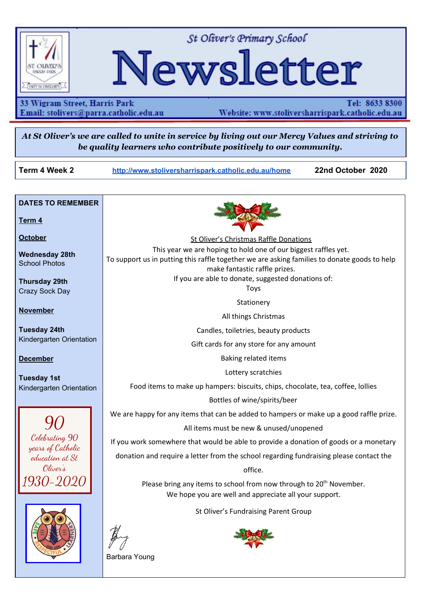

St Oliver's Primary School

# Newsletter

33 Wigram Street, Harris Park Email: stolivers@parra.catholic.edu.au Website: www.stoliversharrispark.catholic.edu.au

Tel: 8633 8300

At St Oliver's we are called to unite in service by living out our Mercy Values and striving to *be quality learners who contribute positively to our community.*

**Term 4**

**October**

**November**

**December**

**Term 4 Week 2 [http://www.stoliversharrispark.catholic.edu.au/home](http://www.stoliversharrispark.catholic.edu.au/) 22nd October 2020**

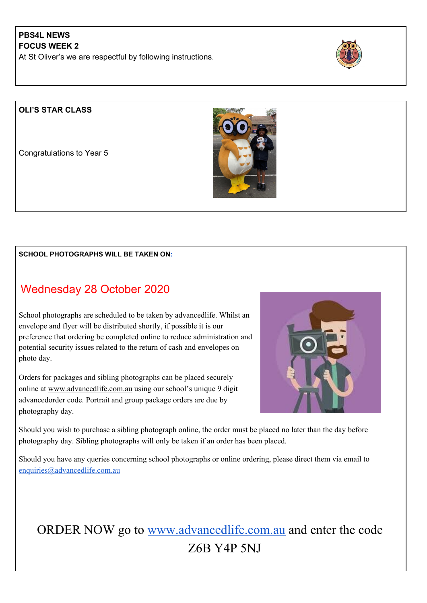## **PBS4L NEWS FOCUS WEEK 2**

At St Oliver's we are respectful by following instructions.



## **OLI'S STAR CLASS**

Congratulations to Year 5



#### **SCHOOL PHOTOGRAPHS WILL BE TAKEN ON:**

# Wednesday 28 October 2020

School photographs are scheduled to be taken by advancedlife. Whilst an envelope and flyer will be distributed shortly, if possible it is our preference that ordering be completed online to reduce administration and potential security issues related to the return of cash and envelopes on photo day.

Orders for packages and sibling photographs can be placed securely online at [www.advancedlife.com.au](http://www.advancedlife.com.au/) using our school's unique 9 digit advancedorder code. Portrait and group package orders are due by photography day.



Should you wish to purchase a sibling photograph online, the order must be placed no later than the day before photography day. Sibling photographs will only be taken if an order has been placed.

Should you have any queries concerning school photographs or online ordering, please direct them via email to [enquiries@advancedlife.com.au](mailto:enquiries@advancedlife.com.au)

# ORDER NOW go to [www.advancedlife.com.au](http://www.advancedlife.com.au/) and enter the code Z6B Y4P 5NJ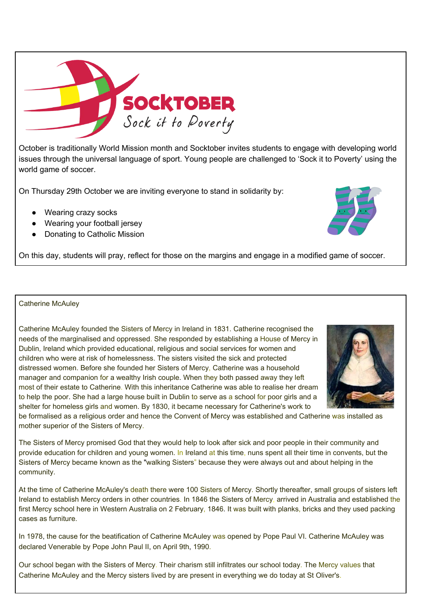

October is traditionally World Mission month and Socktober invites students to engage with developing world issues through the universal language of sport. Young people are challenged to 'Sock it to Poverty' using the world game of soccer.

On Thursday 29th October we are inviting everyone to stand in solidarity by:

- Wearing crazy socks
- Wearing your football jersey
- Donating to Catholic Mission

On this day, students will pray, reflect for those on the margins and engage in a modified game of soccer.

#### Catherine McAuley

Catherine McAuley founded the Sisters of Mercy in Ireland in 1831. Catherine recognised the needs of the marginalised and oppressed. She responded by establishing a House of Mercy in Dublin, Ireland which provided educational, religious and social services for women and children who were at risk of homelessness. The sisters visited the sick and protected distressed women. Before she founded her Sisters of Mercy, Catherine was a household manager and companion for a wealthy Irish couple. When they both passed away they left most of their estate to Catherine. With this inheritance Catherine was able to realise her dream to help the poor. She had a large house built in Dublin to serve as a school for poor girls and a shelter for homeless girls and women. By 1830, it became necessary for Catherine's work to

be formalised as a religious order and hence the Convent of Mercy was established and Catherine was installed as mother superior of the Sisters of Mercy.

The Sisters of Mercy promised God that they would help to look after sick and poor people in their community and provide education for children and young women. In Ireland at this time, nuns spent all their time in convents, but the Sisters of Mercy became known as the "walking Sisters" because they were always out and about helping in the community.

At the time of Catherine McAuley's death there were 100 Sisters of Mercy. Shortly thereafter, small groups of sisters left Ireland to establish Mercy orders in other countries. In 1846 the Sisters of Mercy, arrived in Australia and established the first Mercy school here in Western Australia on 2 February, 1846. It was built with planks, bricks and they used packing cases as furniture.

In 1978, the cause for the beatification of Catherine McAuley was opened by Pope Paul VI. Catherine McAuley was declared Venerable by Pope John Paul II, on April 9th, 1990.

Our school began with the Sisters of Mercy. Their charism still infiltrates our school today. The Mercy values that Catherine McAuley and the Mercy sisters lived by are present in everything we do today at St Oliver's.